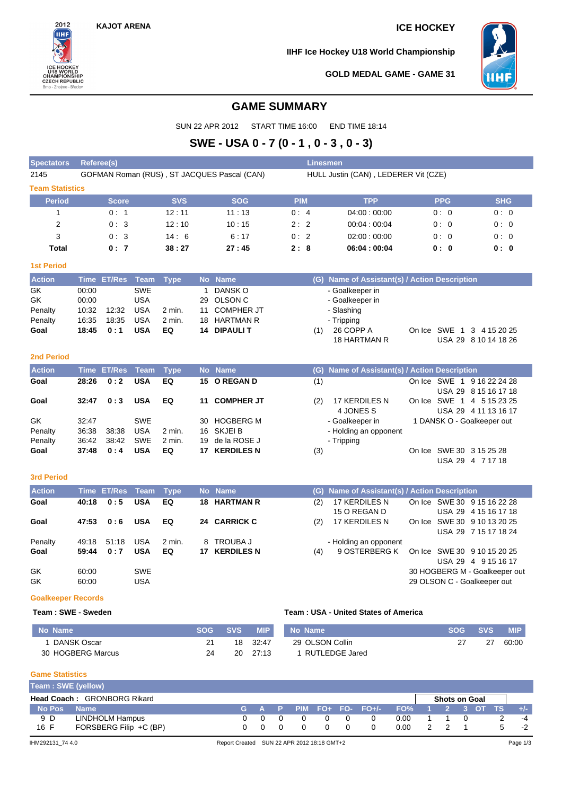**KAJOT ARENA ICE HOCKEY**

2012 **IIHF** 

CHAMPIONSHIP

CZECH REPUBLIC<br>Brno - Znojmo - Břeclav

**IIHF Ice Hockey U18 World Championship**



**GOLD MEDAL GAME - GAME 31**

# **GAME SUMMARY**

SUN 22 APR 2012 START TIME 16:00 END TIME 18:14

# **SWE - USA 0 - 7 (0 - 1 , 0 - 3 , 0 - 3)**

| <b>Spectators</b>                      |                                           | <b>Referee(s)</b>     |                                                                    |                          |                      |                                                                                       |                      | Linesmen, |                                                                                                    |            |                          |                                      |  |
|----------------------------------------|-------------------------------------------|-----------------------|--------------------------------------------------------------------|--------------------------|----------------------|---------------------------------------------------------------------------------------|----------------------|-----------|----------------------------------------------------------------------------------------------------|------------|--------------------------|--------------------------------------|--|
| 2145                                   |                                           |                       |                                                                    |                          |                      | GOFMAN Roman (RUS), ST JACQUES Pascal (CAN)                                           |                      |           | HULL Justin (CAN), LEDERER Vit (CZE)                                                               |            |                          |                                      |  |
| <b>Team Statistics</b>                 |                                           |                       |                                                                    |                          |                      |                                                                                       |                      |           |                                                                                                    |            |                          |                                      |  |
| <b>Period</b>                          |                                           | <b>Score</b>          |                                                                    | <b>SVS</b>               |                      | <b>SOG</b>                                                                            | <b>PIM</b>           |           | <b>TPP</b>                                                                                         |            | <b>PPG</b>               | <b>SHG</b>                           |  |
| 1                                      |                                           | 0:1                   |                                                                    | 12:11                    |                      | 11:13                                                                                 | 0:4                  |           | 04:00:00:00                                                                                        |            | 0:0                      | 0:0                                  |  |
| 2                                      |                                           | 0:3                   |                                                                    | 12:10                    |                      | 10:15                                                                                 | 2:2                  |           | 00:04:00:04                                                                                        |            | 0:0                      | 0:0                                  |  |
| 3                                      |                                           | 0:3                   |                                                                    | 14:6                     |                      | 6:17                                                                                  | 0:<br>$\overline{2}$ |           | 02:00:00:00                                                                                        |            | 0:0                      | 0:0                                  |  |
| Total                                  |                                           | 0:7                   |                                                                    | 38:27                    |                      | 27:45                                                                                 | 2:8                  |           | 06:04:00:04                                                                                        |            | 0:0                      | 0: 0                                 |  |
| <b>1st Period</b>                      |                                           |                       |                                                                    |                          |                      |                                                                                       |                      |           |                                                                                                    |            |                          |                                      |  |
| <b>Action</b>                          | <b>Time</b>                               | <b>ET/Res</b>         | Team                                                               | <b>Type</b>              |                      | No Name                                                                               |                      | (G)       | Name of Assistant(s) / Action Description                                                          |            |                          |                                      |  |
| GK<br>GK<br>Penalty<br>Penalty<br>Goal | 00:00<br>00:00<br>10:32<br>16:35<br>18:45 | 12:32<br>18:35<br>0:1 | <b>SWE</b><br><b>USA</b><br><b>USA</b><br><b>USA</b><br><b>USA</b> | 2 min.<br>$2$ min.<br>EQ | 29<br>11<br>18<br>14 | DANSK O<br><b>OLSON C</b><br><b>COMPHER JT</b><br><b>HARTMAN R</b><br><b>DIPAULIT</b> |                      | (1)       | - Goalkeeper in<br>- Goalkeeper in<br>- Slashing<br>- Tripping<br>26 COPP A<br><b>18 HARTMAN R</b> | On Ice     | SWE 1                    | 3 4 15 20 25<br>USA 29 8 10 14 18 26 |  |
| <b>2nd Period</b>                      |                                           |                       |                                                                    |                          |                      |                                                                                       |                      |           |                                                                                                    |            |                          |                                      |  |
| <b>Action</b>                          | <b>Time</b>                               | <b>ET/Res</b>         | <b>Team</b>                                                        | <b>Type</b>              |                      | No Name                                                                               |                      | (G)       | Name of Assistant(s) / Action Description                                                          |            |                          |                                      |  |
| Goal                                   | 28:26                                     | 0:2                   | <b>USA</b>                                                         | EQ                       |                      | 15 O REGAN D                                                                          |                      | (1)       |                                                                                                    | On Ice SWE | $\overline{1}$<br>USA 29 | 9 16 22 24 28<br>8 15 16 17 18       |  |
| Goal                                   | 32:47                                     | 0:3                   | <b>USA</b>                                                         | EQ                       | 11                   | <b>COMPHER JT</b>                                                                     |                      | (2)       | <b>17 KERDILES N</b><br>4 JONES S                                                                  | On Ice     | SWE<br>$\mathbf{1}$      | 4 5 15 23 25<br>USA 29 4 11 13 16 17 |  |

| Goal    | $32:47$ 0:3 |       | <b>USA</b> | EQ     | 11 COMPHER JT   | (2) | 17 KERDILES N         | On Ice SWE 1 4 5 15 23 25  |
|---------|-------------|-------|------------|--------|-----------------|-----|-----------------------|----------------------------|
|         |             |       |            |        |                 |     | 4 JONES S             | USA 29 4 11 13 16 17       |
| GK      | 32.47       |       | <b>SWE</b> |        | 30 HOGBERG M    |     | - Goalkeeper in       | 1 DANSK O - Goalkeeper out |
| Penalty | 36:38       | 38:38 | <b>USA</b> | 2 min. | 16 SKJEI B      |     | - Holding an opponent |                            |
| Penalty | 36:42       | 38:42 | SWE        | 2 min. | 19 de la ROSE J |     | - Tripping            |                            |
| Goal    | $37:48$ 0:4 |       | <b>USA</b> | EQ     | 17 KERDILES N   | (3) |                       | On Ice SWE 30 3 15 25 28   |
|         |             |       |            |        |                 |     |                       | USA 29 4 7 17 18           |

### **3rd Period**

| <b>Action</b> |       | Time ET/Res Team Type |            |        |     | No Name             |     | (G) Name of Assistant(s) / Action Description |                               |
|---------------|-------|-----------------------|------------|--------|-----|---------------------|-----|-----------------------------------------------|-------------------------------|
| Goal          | 40:18 | 0:5                   | <b>USA</b> | EQ     |     | <b>18 HARTMAN R</b> | (2) | 17 KERDILES N                                 | On Ice SWE 30 9 15 16 22 28   |
|               |       |                       |            |        |     |                     |     | 15 O REGAN D                                  | USA 29 4 15 16 17 18          |
| Goal          | 47:53 | 0:6                   | <b>USA</b> | EQ     |     | 24 CARRICK C        | (2) | 17 KERDILES N                                 | On Ice SWE 30 9 10 13 20 25   |
|               |       |                       |            |        |     |                     |     |                                               | USA 29 7 15 17 18 24          |
| Penalty       | 49.18 | 51:18                 | <b>USA</b> | 2 min. |     | 8 TROUBA J          |     | - Holding an opponent                         |                               |
| Goal          | 59:44 | 0:7                   | <b>USA</b> | EQ     | 17. | <b>KERDILES N</b>   | (4) | 9 OSTERBERG K                                 | On Ice SWE 30 9 10 15 20 25   |
|               |       |                       |            |        |     |                     |     |                                               | USA 29 4 9 15 16 17           |
| GK            | 60:00 |                       | <b>SWE</b> |        |     |                     |     |                                               | 30 HOGBERG M - Goalkeeper out |
| GK            | 60:00 |                       | <b>USA</b> |        |     |                     |     |                                               | 29 OLSON C - Goalkeeper out   |
|               |       |                       |            |        |     |                     |     |                                               |                               |

### **Goalkeeper Records**

### **Team : SWE - Sweden Team : USA - United States of America**

| No Name           | <b>SOG</b> | <b>SVS</b> | <b>MIP</b> | No Name         | <b>SOG</b> | <b>SVS</b> | <b>MIP</b> |
|-------------------|------------|------------|------------|-----------------|------------|------------|------------|
| DANSK Oscar       |            | 18         | 32:47      | 29 OLSON Collin |            |            | 60:00      |
| 30 HOGBERG Marcus | 24         | 20         | 27:13      | RUTLEDGE Jared  |            |            |            |

### **Game Statistics**

| Team: SWE (yellow)                                         |                        |  |         |  |  |          |  |                   |                 |  |  |  |  |       |
|------------------------------------------------------------|------------------------|--|---------|--|--|----------|--|-------------------|-----------------|--|--|--|--|-------|
| <b>Head Coach: GRONBORG Rikard</b><br><b>Shots on Goal</b> |                        |  |         |  |  |          |  |                   |                 |  |  |  |  |       |
| No Pos                                                     | <b>Name</b>            |  | LG A P' |  |  |          |  | PIM FO+ FO- FO+/- | FO% 1 2 3 OT TS |  |  |  |  | $+/-$ |
| 9 D                                                        | LINDHOLM Hampus        |  |         |  |  | $\Omega$ |  |                   | 0.00            |  |  |  |  | -4    |
| 16 F                                                       | FORSBERG Filip +C (BP) |  |         |  |  | $\Omega$ |  |                   | 0.00            |  |  |  |  | -2    |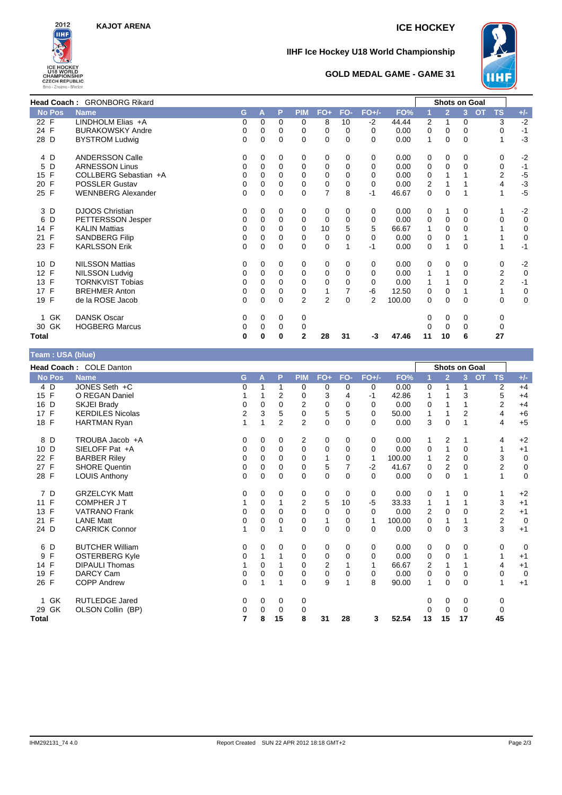

# **IIHF Ice Hockey U18 World Championship**



## **GOLD MEDAL GAME - GAME 31**

|                    | <b>Head Coach: GRONBORG Rikard</b> |   |          |          |                |                |          |                |        |              | Shots on Goal  |          |           |                |             |
|--------------------|------------------------------------|---|----------|----------|----------------|----------------|----------|----------------|--------|--------------|----------------|----------|-----------|----------------|-------------|
| No Pos             | <b>Name</b>                        | G | A        | P        | <b>PIM</b>     | FO+            | FO-      | $FO+/-$        | FO%    |              | $\overline{2}$ | 3        | <b>OT</b> | <b>TS</b>      | $+/-$       |
| 22 F               | LINDHOLM Elias +A                  | 0 | 0        | 0        | 0              | 8              | 10       | $-2$           | 44.44  | 2            | 1              | 0        |           | 3              | $-2$        |
| 24 F               | <b>BURAKOWSKY Andre</b>            | 0 | $\Omega$ | $\Omega$ | 0              | 0              | $\Omega$ | $\Omega$       | 0.00   | 0            | 0              | $\Omega$ |           | $\Omega$       | $-1$        |
| 28 D               | <b>BYSTROM Ludwig</b>              | 0 | 0        | $\Omega$ | 0              | $\Omega$       | $\Omega$ | $\Omega$       | 0.00   | $\mathbf{1}$ | 0              | $\Omega$ |           |                | $-3$        |
| 4 D                | <b>ANDERSSON Calle</b>             | 0 | 0        | 0        | 0              | 0              | 0        | $\Omega$       | 0.00   | 0            | 0              | $\Omega$ |           | 0              | $-2$        |
| D<br>5             | <b>ARNESSON Linus</b>              | 0 | 0        | $\Omega$ | 0              | 0              | $\Omega$ | $\Omega$       | 0.00   | 0            | 0              | $\Omega$ |           | 0              | $-1$        |
| 15 F               | COLLBERG Sebastian +A              | 0 | 0        | 0        | 0              | 0              | 0        | $\Omega$       | 0.00   | 0            |                |          |           | 2              | $-5$        |
| F<br>20            | <b>POSSLER Gustav</b>              | 0 | 0        | $\Omega$ | 0              | 0              | 0        | $\Omega$       | 0.00   | 2            |                |          |           | 4              | $-3$        |
| 25 F               | <b>WENNBERG Alexander</b>          | 0 | 0        | $\Omega$ | 0              | 7              | 8        | $-1$           | 46.67  | 0            | 0              |          |           |                | $-5$        |
| 3 D                | <b>DJOOS Christian</b>             | 0 | 0        | 0        | 0              | 0              | 0        | $\Omega$       | 0.00   | 0            |                | 0        |           |                | $-2$        |
| D<br>6             | PETTERSSON Jesper                  | 0 | 0        | $\Omega$ | 0              | $\Omega$       | $\Omega$ | $\Omega$       | 0.00   | 0            | 0              | $\Omega$ |           | 0              | $\mathbf 0$ |
| 14 F               | <b>KALIN Mattias</b>               | 0 | 0        | 0        | 0              | 10             | 5        | 5              | 66.67  | 1            | 0              | $\Omega$ |           |                | 0           |
| F<br>21            | <b>SANDBERG Filip</b>              | 0 | 0        | 0        | 0              | 0              | 0        | $\Omega$       | 0.00   | 0            | 0              |          |           |                | $\mathbf 0$ |
| 23 F               | <b>KARLSSON Erik</b>               | 0 | 0        | 0        | 0              | $\Omega$       |          | $-1$           | 0.00   | 0            |                | $\Omega$ |           |                | $-1$        |
| 10 D               | <b>NILSSON Mattias</b>             | 0 | 0        | 0        | 0              | 0              | 0        | 0              | 0.00   | 0            | 0              | 0        |           | 0              | $-2$        |
| 12 F               | <b>NILSSON Ludvig</b>              | 0 | 0        | 0        | 0              | 0              | $\Omega$ | $\Omega$       | 0.00   | 1            | 1              | $\Omega$ |           | 2              | $\mathbf 0$ |
| 13 F               | <b>TORNKVIST Tobias</b>            | 0 | 0        | 0        | 0              | 0              | 0        | $\Omega$       | 0.00   | 1            |                | $\Omega$ |           | $\overline{2}$ | $-1$        |
| 17 F               | <b>BREHMER Anton</b>               | 0 | 0        | 0        | 0              | 1              |          | -6             | 12.50  | 0            | 0              |          |           |                | $\mathbf 0$ |
| 19 F               | de la ROSE Jacob                   | 0 | 0        | 0        | $\overline{2}$ | $\overline{2}$ | $\Omega$ | $\overline{2}$ | 100.00 | 0            | 0              | $\Omega$ |           | $\Omega$       | $\mathbf 0$ |
| GK<br>$\mathbf{1}$ | <b>DANSK Oscar</b>                 | 0 | 0        | 0        | 0              |                |          |                |        | 0            | 0              | 0        |           | $\Omega$       |             |
| 30 GK              | <b>HOGBERG Marcus</b>              | 0 | 0        | 0        | 0              |                |          |                |        | O            | 0              | $\Omega$ |           | $\Omega$       |             |
| <b>Total</b>       |                                    | 0 | 0        | 0        | $\mathbf{2}$   | 28             | 31       | -3             | 47.46  | 11           | 10             | 6        |           | 27             |             |

# **Team : USA (blue)**

|                      | Head Coach: COLE Danton |   |          |                |             |                |             |             |        | <b>Shots on Goal</b> |                |          |                        |                  |
|----------------------|-------------------------|---|----------|----------------|-------------|----------------|-------------|-------------|--------|----------------------|----------------|----------|------------------------|------------------|
| <b>No Pos</b>        | <b>Name</b>             | G | Α        | P              | <b>PIM</b>  | $FO+$          | FO-         | $FO+/-$     | FO%    |                      | $\overline{2}$ | 3        | <b>OT</b><br><b>TS</b> | $+/-$            |
| 4 D                  | JONES Seth +C           | 0 |          | 1              | 0           | 0              | 0           | 0           | 0.00   | 0                    | 1              |          | 2                      | $+4$             |
| F<br>15 <sub>1</sub> | O REGAN Daniel          |   |          | $\overline{2}$ | 0           | 3              | 4           | $-1$        | 42.86  |                      |                | 3        | 5                      | $+4$             |
| D<br>16              | SKJEI Brady             | 0 | 0        | 0              | 2           | $\mathbf 0$    | 0           | 0           | 0.00   | 0                    |                |          | 2                      | $+4$             |
| 17 F                 | <b>KERDILES Nicolas</b> | 2 | 3        | 5              | 0           | 5              | 5           | $\Omega$    | 50.00  | 1                    | 1              | 2        | 4                      | $+6$             |
| 18 F                 | <b>HARTMAN Ryan</b>     | 1 |          | 2              | 2           | 0              | 0           | $\Omega$    | 0.00   | 3                    | $\mathbf 0$    |          | 4                      | $+5$             |
| 8 D                  | TROUBA Jacob +A         | 0 | 0        | 0              | 2           | 0              | 0           | 0           | 0.00   | 1                    | 2              |          | 4                      | $+2$             |
| 10 D                 | SIELOFF Pat +A          | 0 | 0        | $\Omega$       | 0           | 0              | $\Omega$    | $\Omega$    | 0.00   | 0                    | 1              | $\Omega$ | 1                      | $+1$             |
| 22 F                 | <b>BARBER Riley</b>     | 0 | $\Omega$ | $\Omega$       | 0           | 1              | $\Omega$    | 1           | 100.00 | 1                    | $\overline{2}$ | $\Omega$ | 3                      | $\mathbf 0$      |
| 27 F                 | <b>SHORE Quentin</b>    | 0 | $\Omega$ | $\Omega$       | 0           | 5              | 7           | $-2$        | 41.67  | 0                    | $\overline{2}$ | $\Omega$ | 2                      | $\boldsymbol{0}$ |
| 28 F                 | <b>LOUIS Anthony</b>    | 0 | $\Omega$ | 0              | 0           | $\mathbf 0$    | $\Omega$    | $\Omega$    | 0.00   | 0                    | $\Omega$       |          |                        | $\mathbf 0$      |
| 7 D                  | <b>GRZELCYK Matt</b>    | 0 | 0        | 0              | 0           | 0              | 0           | 0           | 0.00   | 0                    | 1              | 0        |                        | $+2$             |
| F<br>11              | <b>COMPHER JT</b>       |   | 0        |                | 2           | 5              | 10          | $-5$        | 33.33  | 1                    | 1              |          | 3                      | $+1$             |
| F<br>13              | <b>VATRANO Frank</b>    | 0 | 0        | 0              | 0           | 0              | 0           | $\mathbf 0$ | 0.00   | 2                    | 0              | $\Omega$ | 2                      | $+1$             |
| F<br>21              | <b>LANE Matt</b>        | 0 | 0        | 0              | 0           | 1              | 0           | 1           | 100.00 | 0                    | 1              |          | $\mathbf 2$            | $\mathbf 0$      |
| 24 D                 | <b>CARRICK Connor</b>   | 1 | 0        | 1              | $\mathbf 0$ | $\mathbf 0$    | $\mathbf 0$ | 0           | 0.00   | 0                    | $\mathbf 0$    | 3        | 3                      | $+1$             |
| 6 D                  | <b>BUTCHER William</b>  | 0 | 0        | 0              | 0           | 0              | 0           | 0           | 0.00   | 0                    | 0              | 0        | 0                      | $\overline{0}$   |
| F<br>9               | <b>OSTERBERG Kyle</b>   | 0 |          |                | 0           | 0              | $\Omega$    | 0           | 0.00   | 0                    | 0              |          | 1                      | $+1$             |
| F<br>14              | <b>DIPAULI Thomas</b>   |   | $\Omega$ |                | 0           | $\overline{2}$ |             | 1           | 66.67  | 2                    | 1              |          | 4                      | $+1$             |
| F<br>19              | DARCY Cam               | 0 | 0        | 0              | 0           | $\mathbf 0$    | 0           | 0           | 0.00   | 0                    | $\mathbf 0$    | 0        | 0                      | $\overline{0}$   |
| 26 F                 | <b>COPP Andrew</b>      | 0 |          |                | $\Omega$    | 9              |             | 8           | 90.00  | 1                    | $\mathbf 0$    | $\Omega$ | 1                      | $+1$             |
| GK<br>1.             | <b>RUTLEDGE Jared</b>   | 0 | 0        | 0              | 0           |                |             |             |        | 0                    | 0              | 0        | 0                      |                  |
| GK<br>29             | OLSON Collin (BP)       | 0 | 0        | 0              | 0           |                |             |             |        | 0                    | 0              | 0        | 0                      |                  |
| <b>Total</b>         |                         | 7 | 8        | 15             | 8           | 31             | 28          | 3           | 52.54  | 13                   | 15             | 17       | 45                     |                  |